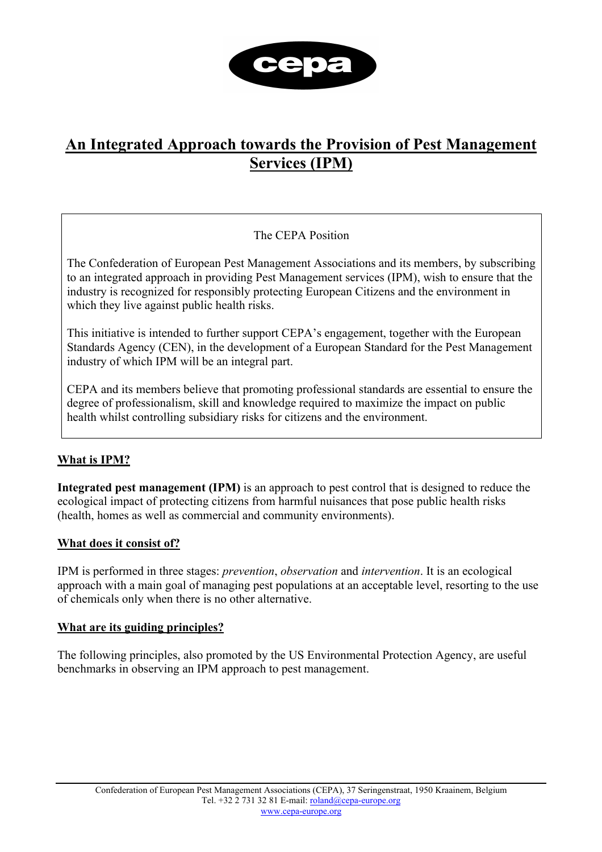

# **An Integrated Approach towards the Provision of Pest Management Services (IPM)**

## The CEPA Position

The Confederation of European Pest Management Associations and its members, by subscribing to an integrated approach in providing Pest Management services (IPM), wish to ensure that the industry is recognized for responsibly protecting European Citizens and the environment in which they live against public health risks.

This initiative is intended to further support CEPA's engagement, together with the European Standards Agency (CEN), in the development of a European Standard for the Pest Management industry of which IPM will be an integral part.

CEPA and its members believe that promoting professional standards are essential to ensure the degree of professionalism, skill and knowledge required to maximize the impact on public health whilst controlling subsidiary risks for citizens and the environment.

## **What is IPM?**

**Integrated pest management (IPM)** is an approach to pest control that is designed to reduce the ecological impact of protecting citizens from harmful nuisances that pose public health risks (health, homes as well as commercial and community environments).

### **What does it consist of?**

IPM is performed in three stages: *prevention*, *observation* and *intervention*. It is an ecological approach with a main goal of managing pest populations at an acceptable level, resorting to the use of chemicals only when there is no other alternative.

### **What are its guiding principles?**

The following principles, also promoted by the US Environmental Protection Agency, are useful benchmarks in observing an IPM approach to pest management.